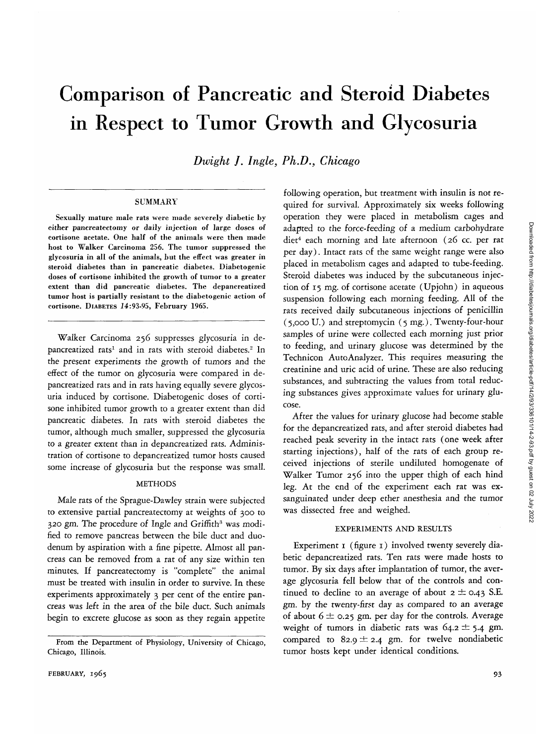# Comparison of Pancreatic and Steroid Diabetes in Respect to Tumor Growth and Glycosuria

*Dwight J. Ingle, Ph.D., Chicago*

## **SUMMARY**

Sexually mature male rats were made severely diabetic by either pancreatectomy or daily injection of large doses of cortisone acetate. One half of the animals were then made host to Walker Carcinoma 256. The tumor suppressed the glycosuria in all of the animals, but the effect was greater in steroid diabetes than in pancreatic diabetes. Diabetogenic doses of cortisone inhibited the growth of tumor to a greater extent than did pancreatic diabetes. The depancreatized tumor host is partially resistant to the diabetogenic action of cortisone. DIABETES 14:93-95, February 1965.

Walker Carcinoma 256 suppresses glycosuria in depancreatized rats<sup>1</sup> and in rats with steroid diabetes.<sup>2</sup> In the present experiments the growth of tumors and the effect of the tumor on glycosuria were compared in depancreatized rats and in rats having equally severe glycosuria induced by cortisone. Diabetogenic doses of cortisone inhibited tumor growth to a greater extent than did pancreatic diabetes. In rats with steroid diabetes the tumor, although much smaller, suppressed the glycosuria to a greater extent than in depancreatized rats. Administration of cortisone to depancreatized tumor hosts caused some increase of glycosuria but the response was small.

#### **METHODS**

Male rats of the Sprague-Dawley strain were subjected to extensive partial pancreatectomy at weights of 300 to 320 gm. The procedure of Ingle and Griffith<sup>3</sup> was modified to remove pancreas between the bile duct and duodenum by aspiration with a fine pipette. Almost all pancreas can be removed from a rat of any size within ten minutes. If pancreatectomy is "complete" the animal must be treated with insulin in order to survive. In these experiments approximately 3 per cent of the entire pancreas was left in the area of the bile duct. Such animals begin to excrete glucose as soon as they regain appetite

following operation, but treatment with insulin is not required for survival. Approximately six weeks following operation they were placed in metabolism cages and adapted to the force-feeding of a medium carbohydrate diet<sup>4</sup> each morning and late afternoon (26 cc. per rat per day). Intact rats of the same weight range were also placed in metabolism cages and adapted to tube-feeding. Steroid diabetes was induced by the subcutaneous injection of 15 mg. of cortisone acetate (Upjohn) in aqueous suspension following each morning feeding. All of the rats received daily subcutaneous injections of penicillin (5,000 U.) and streptomycin (5 mg.). Twenty-four-hour samples of urine were collected each morning just prior to feeding, and urinary glucose was determined by the Technicon AutoAnalyzer. This requires measuring the creatinine and uric acid of urine. These are also reducing substances, and subtracting the values from total reducing substances gives approximate values for urinary glucose.

After the values for urinary glucose had become stable for the depancreatized rats, and after steroid diabetes had reached peak severity in the intact rats (one week after starting injections), half of the rats of each group received injections of sterile undiluted homogenate of Walker Tumor 256 into the upper thigh of each hind leg. At the end of the experiment each rat was exsanguinated under deep ether anesthesia and the tumor was dissected free and weighed.

## EXPERIMENTS AND RESULTS

Experiment 1 (figure 1) involved twenty severely diabetic depancreatized rats. Ten rats were made hosts to tumor. By six days after implantation of tumor, the average glycosuria fell below that of the controls and continued to decline to an average of about  $2 \pm 0.43$  S.E. gm. by the twenty-first day as compared to an average of about  $6 \pm 0.25$  gm. per day for the controls. Average weight of tumors in diabetic rats was  $64.2 \pm 5.4$  gm. compared to  $82.9 \pm 2.4$  gm. for twelve nondiabetic tumor hosts kept under identical conditions.

From the Department of Physiology, University of Chicago, Chicago, Illinois.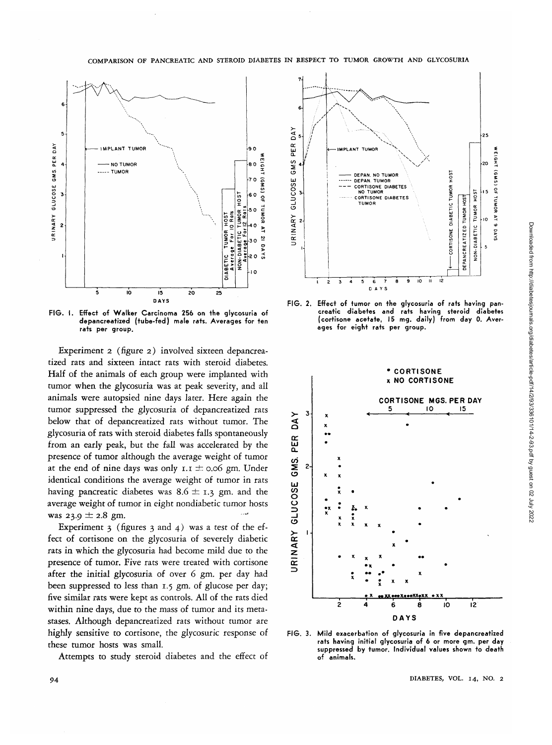

**FIG. I. Effect of Walker Carcinoma 256 on the glycosuria of depancreatized (tube-fed) male rats. Averages for ten rats per group.**

Experiment 2 (figure 2) involved sixteen depancreatized rats and sixteen intact rats with steroid diabetes. Half of the animals of each group were implanted with tumor when the glycosuria was at peak severity, and all animals were autopsied nine days later. Here again the tumor suppressed the glycosuria of depancreatized rats below that of depancreatized rats without tumor. The glycosuria of rats with steroid diabetes falls spontaneously from an early peak, but the fall was accelerated by the presence of tumor although the average weight of tumor at the end of nine days was only 1.1 *±* 0.06 gm. Under identical conditions the average weight of tumor in rats having pancreatic diabetes was  $8.6 \pm 1.3$  gm. and the average weight of tumor in eight nondiabetic tumor hosts was  $23.9 \pm 2.8$  gm.

Experiment 3 (figures 3 and 4) was a *test* of the effect of cortisone on the glycosuria of severely diabetic rats in which the glycosuria had become mild due to the presence of tumor. Five rats were treated with cortisone after the initial glycosuria of over 6 gm. per day had been suppressed to less than 1.5 gm. of glucose per day; five similar rats were kept as controls. All of the rats died within nine days, due to the mass of tumor and its metastases. Although depancreatized rats without tumor are highly sensitive to cortisone, the glycosuric response of these tumor hosts was small.

Attempts to study steroid diabetes and the effect of



**FIG. 2. Effect of tumor on the glycosuria of rats having pancreatic diabetes and rats having steroid diabetes (cortisone acetate, 15 mg. daily) from day 0. Averages for eight rats per group.**



**FIG. 3. Mild exacerbation of glycosuria in five depancreatized rats having initial glycosuria of 6 or more gm. per day suppressed by tumor. Individual values shown to death of animals.**